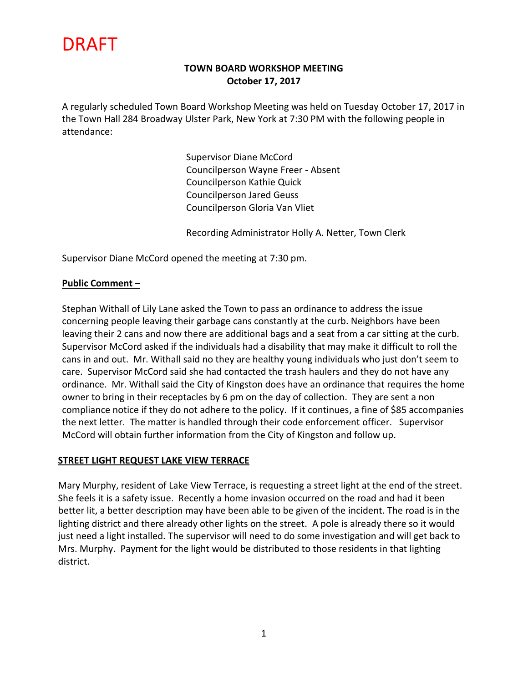# DRAFT

# **TOWN BOARD WORKSHOP MEETING October 17, 2017**

A regularly scheduled Town Board Workshop Meeting was held on Tuesday October 17, 2017 in the Town Hall 284 Broadway Ulster Park, New York at 7:30 PM with the following people in attendance:

> Supervisor Diane McCord Councilperson Wayne Freer - Absent Councilperson Kathie Quick Councilperson Jared Geuss Councilperson Gloria Van Vliet

Recording Administrator Holly A. Netter, Town Clerk

Supervisor Diane McCord opened the meeting at 7:30 pm.

### **Public Comment –**

Stephan Withall of Lily Lane asked the Town to pass an ordinance to address the issue concerning people leaving their garbage cans constantly at the curb. Neighbors have been leaving their 2 cans and now there are additional bags and a seat from a car sitting at the curb. Supervisor McCord asked if the individuals had a disability that may make it difficult to roll the cans in and out. Mr. Withall said no they are healthy young individuals who just don't seem to care. Supervisor McCord said she had contacted the trash haulers and they do not have any ordinance. Mr. Withall said the City of Kingston does have an ordinance that requires the home owner to bring in their receptacles by 6 pm on the day of collection. They are sent a non compliance notice if they do not adhere to the policy. If it continues, a fine of \$85 accompanies the next letter. The matter is handled through their code enforcement officer. Supervisor McCord will obtain further information from the City of Kingston and follow up.

### **STREET LIGHT REQUEST LAKE VIEW TERRACE**

Mary Murphy, resident of Lake View Terrace, is requesting a street light at the end of the street. She feels it is a safety issue. Recently a home invasion occurred on the road and had it been better lit, a better description may have been able to be given of the incident. The road is in the lighting district and there already other lights on the street. A pole is already there so it would just need a light installed. The supervisor will need to do some investigation and will get back to Mrs. Murphy. Payment for the light would be distributed to those residents in that lighting district.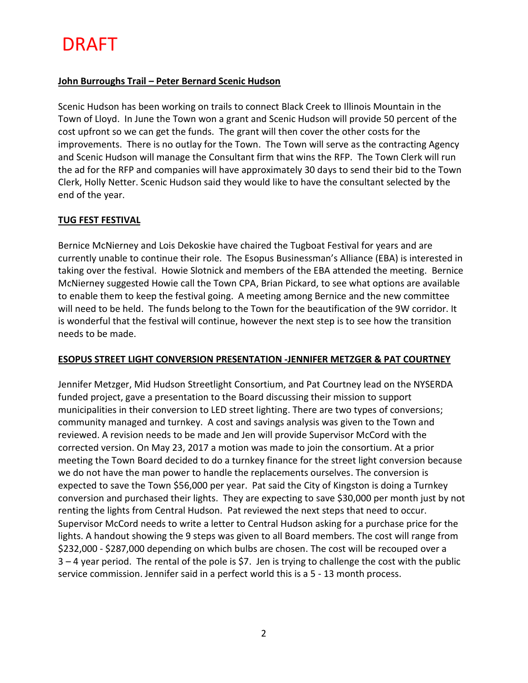# DRAFT

## **John Burroughs Trail – Peter Bernard Scenic Hudson**

Scenic Hudson has been working on trails to connect Black Creek to Illinois Mountain in the Town of Lloyd. In June the Town won a grant and Scenic Hudson will provide 50 percent of the cost upfront so we can get the funds. The grant will then cover the other costs for the improvements. There is no outlay for the Town. The Town will serve as the contracting Agency and Scenic Hudson will manage the Consultant firm that wins the RFP. The Town Clerk will run the ad for the RFP and companies will have approximately 30 days to send their bid to the Town Clerk, Holly Netter. Scenic Hudson said they would like to have the consultant selected by the end of the year.

### **TUG FEST FESTIVAL**

Bernice McNierney and Lois Dekoskie have chaired the Tugboat Festival for years and are currently unable to continue their role. The Esopus Businessman's Alliance (EBA) is interested in taking over the festival. Howie Slotnick and members of the EBA attended the meeting. Bernice McNierney suggested Howie call the Town CPA, Brian Pickard, to see what options are available to enable them to keep the festival going. A meeting among Bernice and the new committee will need to be held. The funds belong to the Town for the beautification of the 9W corridor. It is wonderful that the festival will continue, however the next step is to see how the transition needs to be made.

### **ESOPUS STREET LIGHT CONVERSION PRESENTATION -JENNIFER METZGER & PAT COURTNEY**

Jennifer Metzger, Mid Hudson Streetlight Consortium, and Pat Courtney lead on the NYSERDA funded project, gave a presentation to the Board discussing their mission to support municipalities in their conversion to LED street lighting. There are two types of conversions; community managed and turnkey. A cost and savings analysis was given to the Town and reviewed. A revision needs to be made and Jen will provide Supervisor McCord with the corrected version. On May 23, 2017 a motion was made to join the consortium. At a prior meeting the Town Board decided to do a turnkey finance for the street light conversion because we do not have the man power to handle the replacements ourselves. The conversion is expected to save the Town \$56,000 per year. Pat said the City of Kingston is doing a Turnkey conversion and purchased their lights. They are expecting to save \$30,000 per month just by not renting the lights from Central Hudson. Pat reviewed the next steps that need to occur. Supervisor McCord needs to write a letter to Central Hudson asking for a purchase price for the lights. A handout showing the 9 steps was given to all Board members. The cost will range from \$232,000 - \$287,000 depending on which bulbs are chosen. The cost will be recouped over a 3 – 4 year period. The rental of the pole is \$7. Jen is trying to challenge the cost with the public service commission. Jennifer said in a perfect world this is a 5 - 13 month process.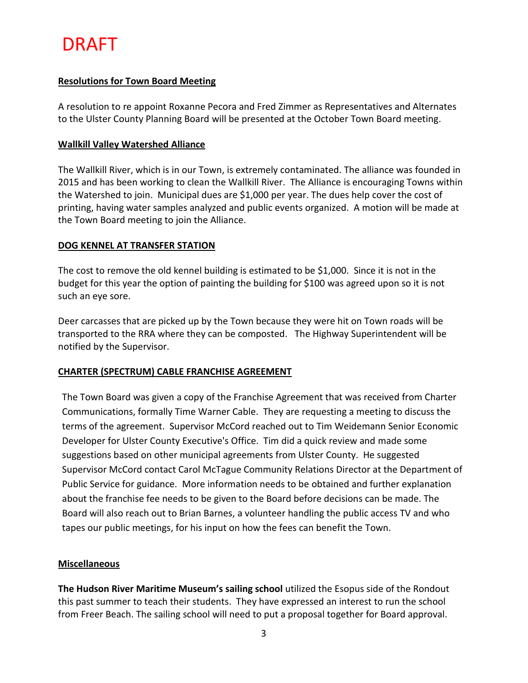## **Resolutions for Town Board Meeting**

A resolution to re appoint Roxanne Pecora and Fred Zimmer as Representatives and Alternates to the Ulster County Planning Board will be presented at the October Town Board meeting.

## **Wallkill Valley Watershed Alliance**

The Wallkill River, which is in our Town, is extremely contaminated. The alliance was founded in 2015 and has been working to clean the Wallkill River. The Alliance is encouraging Towns within the Watershed to join. Municipal dues are \$1,000 per year. The dues help cover the cost of printing, having water samples analyzed and public events organized. A motion will be made at the Town Board meeting to join the Alliance.

## **DOG KENNEL AT TRANSFER STATION**

The cost to remove the old kennel building is estimated to be \$1,000. Since it is not in the budget for this year the option of painting the building for \$100 was agreed upon so it is not such an eye sore.

Deer carcasses that are picked up by the Town because they were hit on Town roads will be transported to the RRA where they can be composted. The Highway Superintendent will be notified by the Supervisor.

### **CHARTER (SPECTRUM) CABLE FRANCHISE AGREEMENT**

The Town Board was given a copy of the Franchise Agreement that was received from Charter Communications, formally Time Warner Cable. They are requesting a meeting to discuss the terms of the agreement. Supervisor McCord reached out to Tim Weidemann Senior Economic Developer for Ulster County Executive's Office. Tim did a quick review and made some suggestions based on other municipal agreements from Ulster County. He suggested Supervisor McCord contact Carol McTague Community Relations Director at the Department of Public Service for guidance. More information needs to be obtained and further explanation about the franchise fee needs to be given to the Board before decisions can be made. The Board will also reach out to Brian Barnes, a volunteer handling the public access TV and who tapes our public meetings, for his input on how the fees can benefit the Town.

### **Miscellaneous**

**The Hudson River Maritime Museum's sailing school** utilized the Esopus side of the Rondout this past summer to teach their students. They have expressed an interest to run the school from Freer Beach. The sailing school will need to put a proposal together for Board approval.